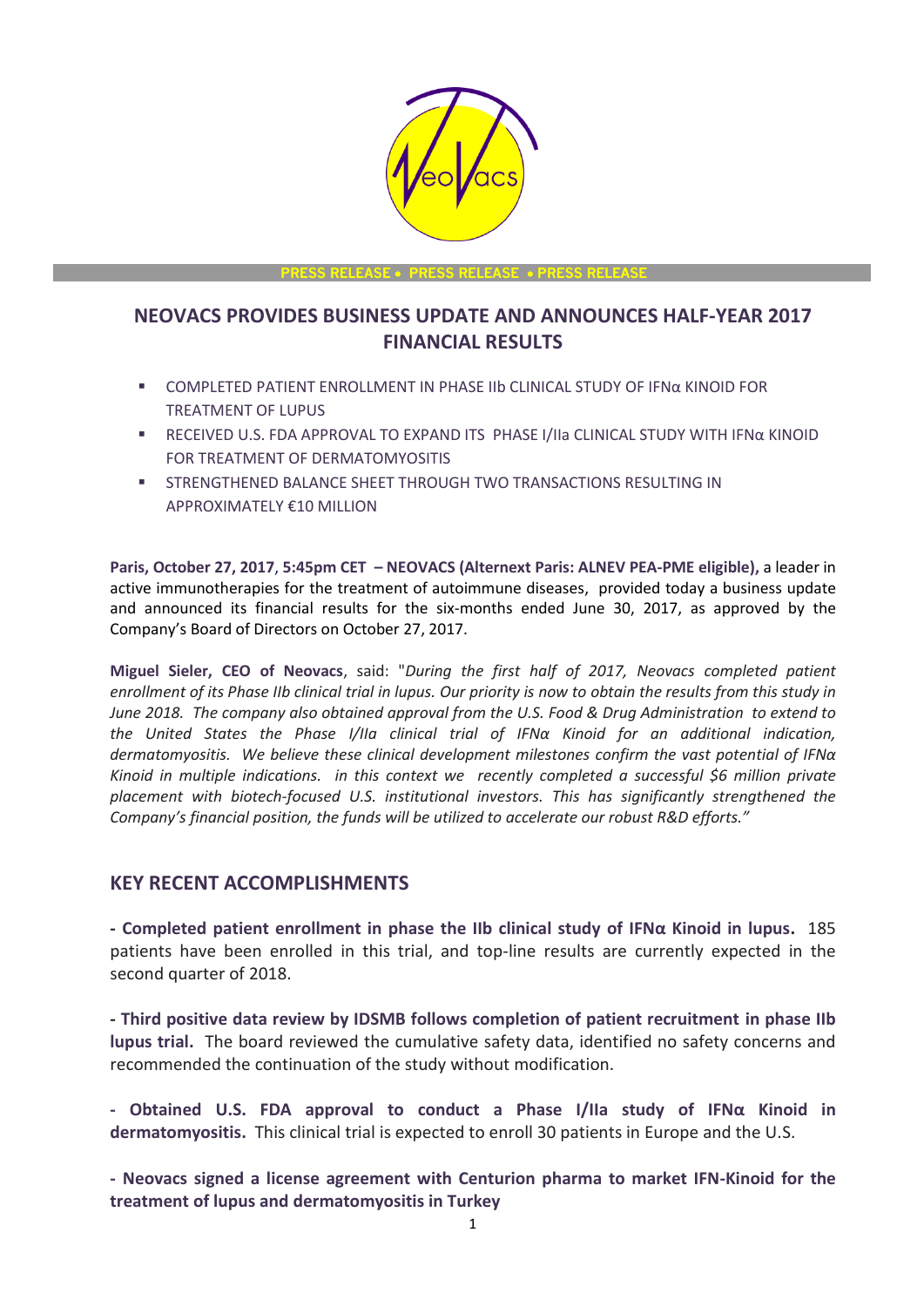

**PRESS RELEASE** • **PRESS RELEASE** • **PRESS RELEASE**

# **NEOVACS PROVIDES BUSINESS UPDATE AND ANNOUNCES HALF-YEAR 2017 FINANCIAL RESULTS**

- COMPLETED PATIENT ENROLLMENT IN PHASE IIb CLINICAL STUDY OF IFNα KINOID FOR TREATMENT OF LUPUS
- RECEIVED U.S. FDA APPROVAL TO EXPAND ITS PHASE I/IIa CLINICAL STUDY WITH IFNα KINOID FOR TREATMENT OF DERMATOMYOSITIS
- **EXECUTE IN STRENGTHENED BALANCE SHEET THROUGH TWO TRANSACTIONS RESULTING IN** APPROXIMATELY €10 MILLION

**Paris, October 27, 2017**, **5:45pm CET – NEOVACS (Alternext Paris: ALNEV PEA-PME eligible),** a leader in active immunotherapies for the treatment of autoimmune diseases, provided today a business update and announced its financial results for the six-months ended June 30, 2017, as approved by the Company's Board of Directors on October 27, 2017.

**Miguel Sieler, CEO of Neovacs**, said: "*During the first half of 2017, Neovacs completed patient enrollment of its Phase IIb clinical trial in lupus. Our priority is now to obtain the results from this study in June 2018. The company also obtained approval from the U.S. Food & Drug Administration to extend to the United States the Phase I/IIa clinical trial of IFNα Kinoid for an additional indication, dermatomyositis. We believe these clinical development milestones confirm the vast potential of IFNα Kinoid in multiple indications. in this context we recently completed a successful \$6 million private placement with biotech-focused U.S. institutional investors. This has significantly strengthened the Company's financial position, the funds will be utilized to accelerate our robust R&D efforts."*

### **KEY RECENT ACCOMPLISHMENTS**

**- Completed patient enrollment in phase the IIb clinical study of IFNα Kinoid in lupus.** 185 patients have been enrolled in this trial, and top-line results are currently expected in the second quarter of 2018.

**- Third positive data review by IDSMB follows completion of patient recruitment in phase IIb lupus trial.** The board reviewed the cumulative safety data, identified no safety concerns and recommended the continuation of the study without modification.

**- Obtained U.S. FDA approval to conduct a Phase I/IIa study of IFNα Kinoid in dermatomyositis.** This clinical trial is expected to enroll 30 patients in Europe and the U.S.

**- Neovacs signed a license agreement with Centurion pharma to market IFN-Kinoid for the treatment of lupus and dermatomyositis in Turkey**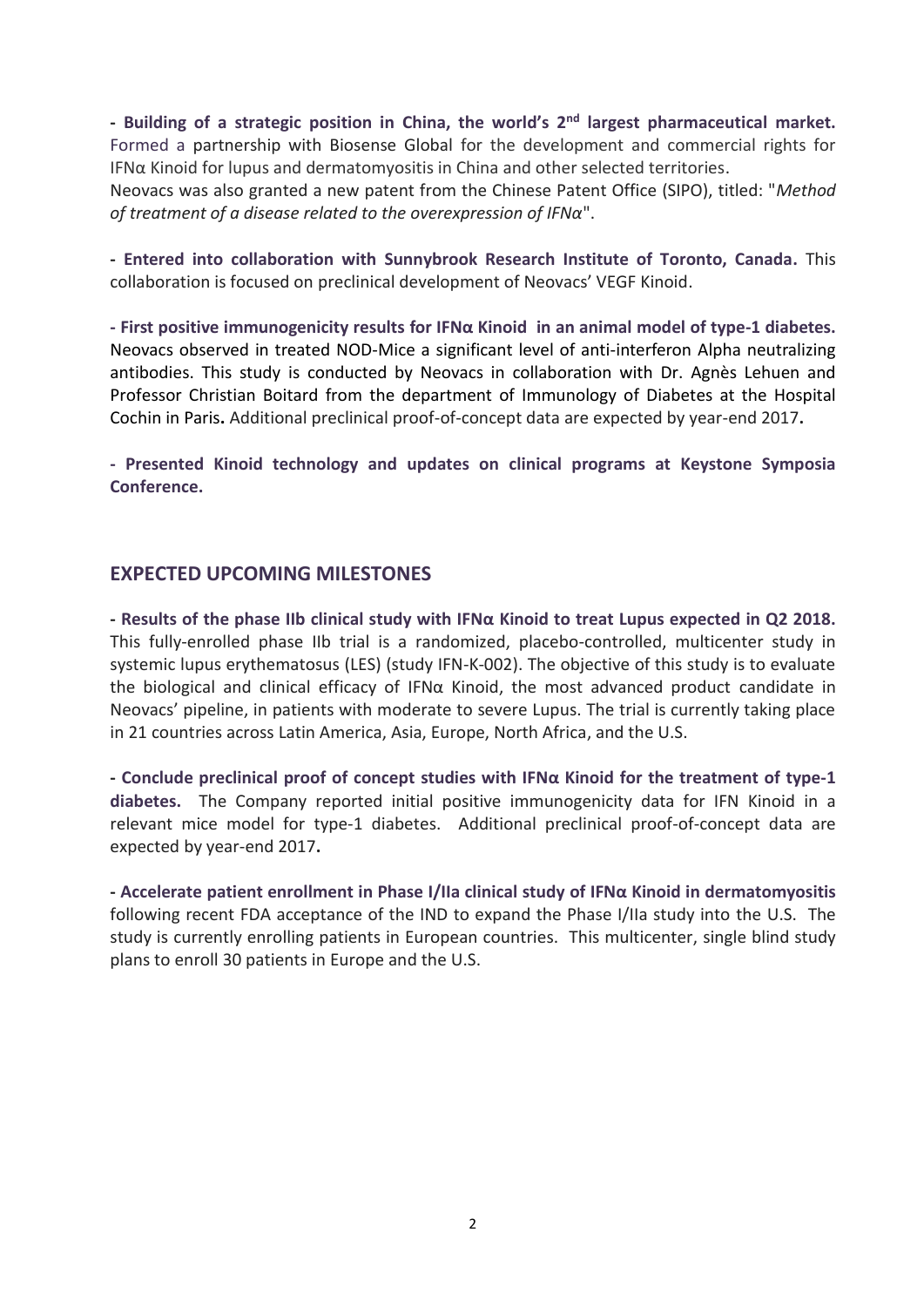**- Building of a strategic position in China, the world's 2nd largest pharmaceutical market.**  Formed a partnership with Biosense Global for the development and commercial rights for IFNα Kinoid for lupus and dermatomyositis in China and other selected territories. Neovacs was also granted a new patent from the Chinese Patent Office (SIPO), titled: "*Method of treatment of a disease related to the overexpression of IFNα*".

**- Entered into collaboration with Sunnybrook Research Institute of Toronto, Canada.** This collaboration is focused on preclinical development of Neovacs' VEGF Kinoid.

**- First positive immunogenicity results for IFNα Kinoid in an animal model of type-1 diabetes.** Neovacs observed in treated NOD-Mice a significant level of anti-interferon Alpha neutralizing antibodies. This study is conducted by Neovacs in collaboration with Dr. Agnès Lehuen and Professor Christian Boitard from the department of Immunology of Diabetes at the Hospital Cochin in Paris**.** Additional preclinical proof-of-concept data are expected by year-end 2017**.**

**- Presented Kinoid technology and updates on clinical programs at Keystone Symposia Conference.** 

### **EXPECTED UPCOMING MILESTONES**

**- Results of the phase IIb clinical study with IFNα Kinoid to treat Lupus expected in Q2 2018.**  This fully-enrolled phase IIb trial is a randomized, placebo-controlled, multicenter study in systemic lupus erythematosus (LES) (study IFN-K-002). The objective of this study is to evaluate the biological and clinical efficacy of IFNα Kinoid, the most advanced product candidate in Neovacs' pipeline, in patients with moderate to severe Lupus. The trial is currently taking place in 21 countries across Latin America, Asia, Europe, North Africa, and the U.S.

**- Conclude preclinical proof of concept studies with IFNα Kinoid for the treatment of type-1 diabetes.** The Company reported initial positive immunogenicity data for IFN Kinoid in a relevant mice model for type-1 diabetes. Additional preclinical proof-of-concept data are expected by year-end 2017**.**

**- Accelerate patient enrollment in Phase I/IIa clinical study of IFNα Kinoid in dermatomyositis** following recent FDA acceptance of the IND to expand the Phase I/IIa study into the U.S. The study is currently enrolling patients in European countries. This multicenter, single blind study plans to enroll 30 patients in Europe and the U.S.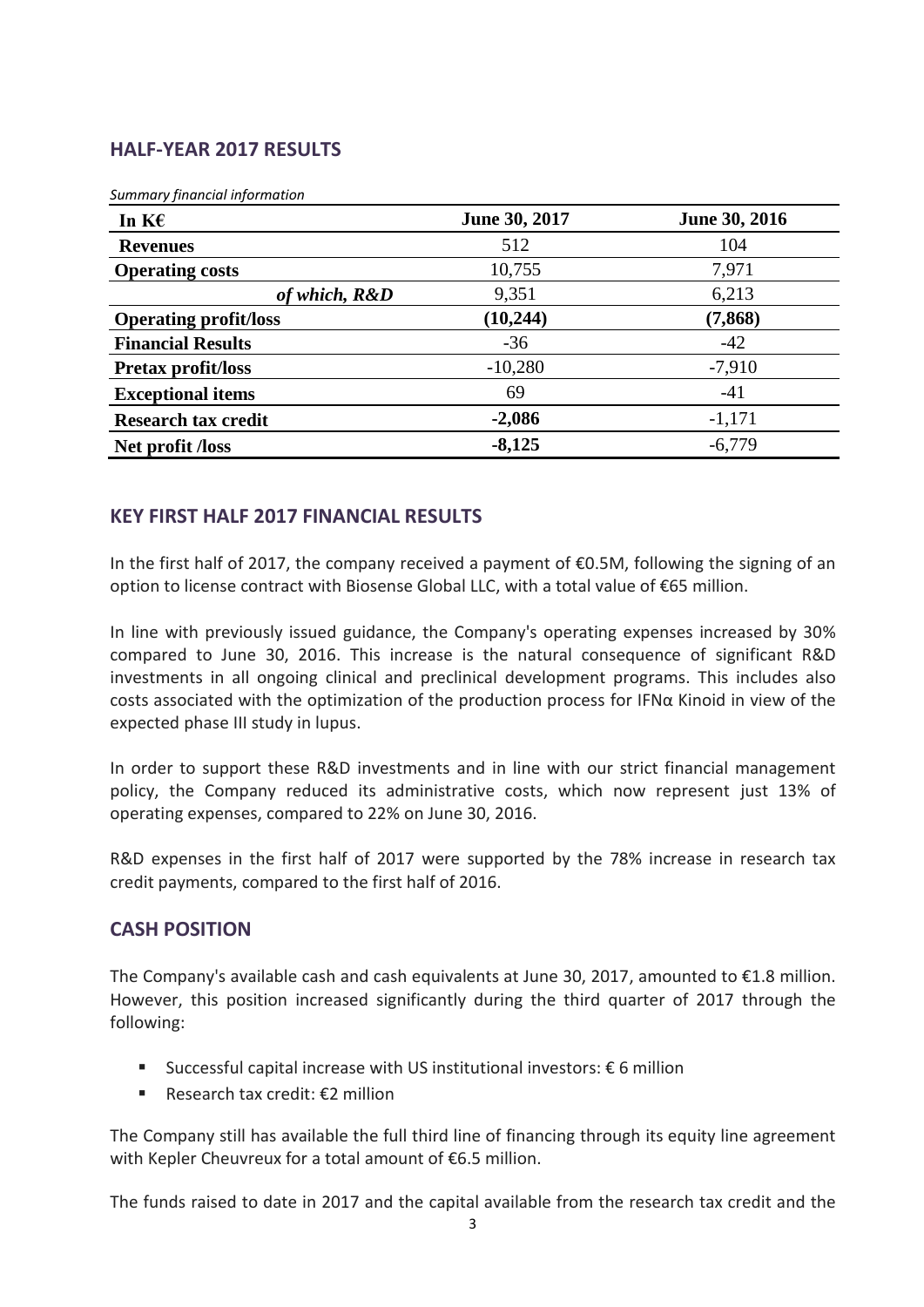# **HALF-YEAR 2017 RESULTS**

| Summary financial information |
|-------------------------------|
|-------------------------------|

| In $K\epsilon$               | June 30, 2017 | June 30, 2016 |
|------------------------------|---------------|---------------|
| <b>Revenues</b>              | 512           | 104           |
| <b>Operating costs</b>       | 10,755        | 7,971         |
| of which, R&D                | 9,351         | 6,213         |
| <b>Operating profit/loss</b> | (10, 244)     | (7, 868)      |
| <b>Financial Results</b>     | $-36$         | $-42$         |
| <b>Pretax profit/loss</b>    | $-10,280$     | $-7,910$      |
| <b>Exceptional items</b>     | 69            | $-41$         |
| <b>Research tax credit</b>   | $-2,086$      | $-1,171$      |
| Net profit <i>Aoss</i>       | $-8,125$      | $-6,779$      |

## **KEY FIRST HALF 2017 FINANCIAL RESULTS**

In the first half of 2017, the company received a payment of €0.5M, following the signing of an option to license contract with Biosense Global LLC, with a total value of €65 million.

In line with previously issued guidance, the Company's operating expenses increased by 30% compared to June 30, 2016. This increase is the natural consequence of significant R&D investments in all ongoing clinical and preclinical development programs. This includes also costs associated with the optimization of the production process for IFN $\alpha$  Kinoid in view of the expected phase III study in lupus.

In order to support these R&D investments and in line with our strict financial management policy, the Company reduced its administrative costs, which now represent just 13% of operating expenses, compared to 22% on June 30, 2016.

R&D expenses in the first half of 2017 were supported by the 78% increase in research tax credit payments, compared to the first half of 2016.

## **CASH POSITION**

The Company's available cash and cash equivalents at June 30, 2017, amounted to  $E1.8$  million. However, this position increased significantly during the third quarter of 2017 through the following:

- Successful capital increase with US institutional investors:  $\epsilon$  6 million
- Research tax credit: €2 million

The Company still has available the full third line of financing through its equity line agreement with Kepler Cheuvreux for a total amount of €6.5 million.

The funds raised to date in 2017 and the capital available from the research tax credit and the